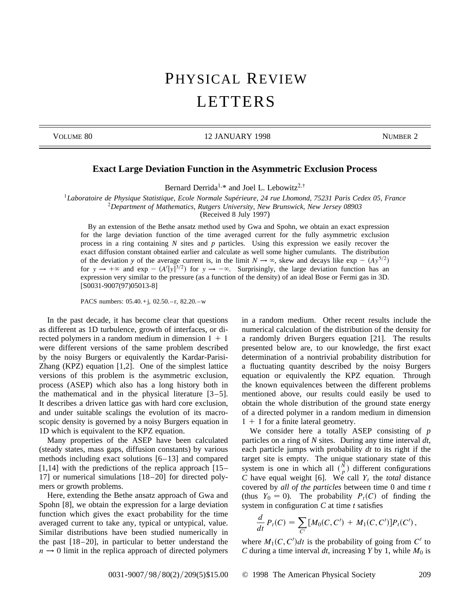## PHYSICAL REVIEW LETTERS

VOLUME 80 12 JANUARY 1998 NUMBER 2

## **Exact Large Deviation Function in the Asymmetric Exclusion Process**

Bernard Derrida<sup>1,\*</sup> and Joel L. Lebowitz<sup>2,†</sup>

<sup>1</sup>*Laboratoire de Physique Statistique, Ecole Normale Supérieure, 24 rue Lhomond, 75231 Paris Cedex 05, France* <sup>2</sup>*Department of Mathematics, Rutgers University, New Brunswick, New Jersey 08903*

(Received 8 July 1997)

By an extension of the Bethe ansatz method used by Gwa and Spohn, we obtain an exact expression for the large deviation function of the time averaged current for the fully asymmetric exclusion process in a ring containing *N* sites and *p* particles. Using this expression we easily recover the exact diffusion constant obtained earlier and calculate as well some higher cumulants. The distribution of the deviation *y* of the average current is, in the limit  $N \to \infty$ , skew and decays like exp –  $(Ay^{5/2})$ for  $y \to +\infty$  and  $\exp - (A'|y|^{3/2})$  for  $y \to -\infty$ . Surprisingly, the large deviation function has an expression very similar to the pressure (as a function of the density) of an ideal Bose or Fermi gas in 3D. [S0031-9007(97)05013-8]

PACS numbers: 05.40.+j, 02.50.-r, 82.20.-w

In the past decade, it has become clear that questions as different as 1D turbulence, growth of interfaces, or directed polymers in a random medium in dimension  $1 + 1$ were different versions of the same problem described by the noisy Burgers or equivalently the Kardar-Parisi-Zhang (KPZ) equation [1,2]. One of the simplest lattice versions of this problem is the asymmetric exclusion, process (ASEP) which also has a long history both in the mathematical and in the physical literature [3–5]. It describes a driven lattice gas with hard core exclusion, and under suitable scalings the evolution of its macroscopic density is governed by a noisy Burgers equation in 1D which is equivalent to the KPZ equation.

Many properties of the ASEP have been calculated (steady states, mass gaps, diffusion constants) by various methods including exact solutions [6–13] and compared  $[1,14]$  with the predictions of the replica approach  $[15-$ 17] or numerical simulations [18–20] for directed polymers or growth problems.

Here, extending the Bethe ansatz approach of Gwa and Spohn [8], we obtain the expression for a large deviation function which gives the exact probability for the time averaged current to take any, typical or untypical, value. Similar distributions have been studied numerically in the past  $[18-20]$ , in particular to better understand the  $n \rightarrow 0$  limit in the replica approach of directed polymers

in a random medium. Other recent results include the numerical calculation of the distribution of the density for a randomly driven Burgers equation [21]. The results presented below are, to our knowledge, the first exact determination of a nontrivial probability distribution for a fluctuating quantity described by the noisy Burgers equation or equivalently the KPZ equation. Through the known equivalences between the different problems mentioned above, our results could easily be used to obtain the whole distribution of the ground state energy of a directed polymer in a random medium in dimension  $1 + 1$  for a finite lateral geometry.

We consider here a totally ASEP consisting of *p* particles on a ring of *N* sites. During any time interval *dt*, each particle jumps with probability *dt* to its right if the target site is empty. The unique stationary state of this system is one in which all  $\binom{N}{p}$  different configurations *C* have equal weight [6]. We call  $Y_t$  the *total* distance covered by *all of the particles* between time 0 and time *t* (thus  $Y_0 = 0$ ). The probability  $P_t(C)$  of finding the system in configuration *C* at time *t* satisfies

$$
\frac{d}{dt} P_t(C) = \sum_{C'} [M_0(C, C') + M_1(C, C')] P_t(C'),
$$

where  $M_1(C, C')dt$  is the probability of going from  $C'$  to *C* during a time interval *dt*, increasing *Y* by 1, while  $M_0$  is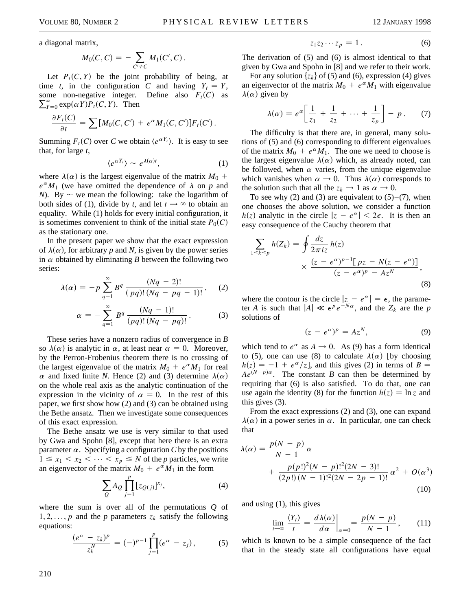a diagonal matrix,

$$
M_0(C, C) = -\sum_{C' \neq C} M_1(C', C).
$$

Let  $P_t(C, Y)$  be the joint probability of being, at time *t*, in the configuration *C* and having  $Y_t = Y$ ,  $\sum_{\textit{Y}=0}^{\infty} \exp(\alpha \textit{Y}) P_t(C, \textit{Y}).$  Then some non-negative integer. Define also  $F_t(C)$  as

$$
\frac{\partial F_t(C)}{\partial t} = \sum [M_0(C, C') + e^{\alpha} M_1(C, C')] F_t(C').
$$

Summing  $F_t(C)$  over *C* we obtain  $\langle e^{\alpha Y_t} \rangle$ . It is easy to see that, for large *t*,

$$
\langle e^{\alpha Y_t} \rangle \sim e^{\lambda(\alpha)t}, \qquad (1)
$$

where  $\lambda(\alpha)$  is the largest eigenvalue of the matrix  $M_0$  +  $e^{\alpha}M_1$  (we have omitted the dependence of  $\lambda$  on *p* and *N*). By  $\sim$  we mean the following: take the logarithm of both sides of (1), divide by *t*, and let  $t \to \infty$  to obtain an equality. While (1) holds for every initial configuration, it is sometimes convenient to think of the initial state  $P_0(C)$ as the stationary one.

In the present paper we show that the exact expression of  $\lambda(\alpha)$ , for arbitrary p and N, is given by the power series in  $\alpha$  obtained by eliminating *B* between the following two series:

$$
\lambda(\alpha) = -p \sum_{q=1}^{\infty} B^q \frac{(Nq-2)!}{(pq)!(Nq-pq-1)!}, \quad (2)
$$

$$
\alpha = -\sum_{q=1}^{\infty} B^q \, \frac{(Nq-1)!}{(pq)!(Nq-pq)!} \,. \tag{3}
$$

These series have a nonzero radius of convergence in *B* so  $\lambda(\alpha)$  is analytic in  $\alpha$ , at least near  $\alpha = 0$ . Moreover, by the Perron-Frobenius theorem there is no crossing of the largest eigenvalue of the matrix  $M_0 + e^{\alpha} M_1$  for real  $\alpha$  and fixed finite *N*. Hence (2) and (3) determine  $\lambda(\alpha)$ on the whole real axis as the analytic continuation of the expression in the vicinity of  $\alpha = 0$ . In the rest of this paper, we first show how (2) and (3) can be obtained using the Bethe ansatz. Then we investigate some consequences of this exact expression.

The Bethe ansatz we use is very similar to that used by Gwa and Spohn [8], except that here there is an extra parameter  $\alpha$ . Specifying a configuration *C* by the positions  $1 \leq x_1 < x_2 < \cdots < x_p \leq N$  of the *p* particles, we write an eigenvector of the matrix  $M_0 + e^{\alpha} M_1$  in the form

$$
\sum_{Q} A_Q \prod_{j=1}^p [z_{Q(j)}]^{x_j},\tag{4}
$$

where the sum is over all of the permutations *Q* of 1, 2, ..., p and the p parameters  $z_k$  satisfy the following equations:

$$
\frac{(e^{\alpha}-z_k)^p}{z_k^N}=(-)^{p-1}\prod_{j=1}^p(e^{\alpha}-z_j), \qquad (5)
$$

$$
z_1 z_2 \cdots z_p = 1. \tag{6}
$$

The derivation of (5) and (6) is almost identical to that given by Gwa and Spohn in [8] and we refer to their work.

For any solution  $\{z_k\}$  of (5) and (6), expression (4) gives an eigenvector of the matrix  $M_0 + e^{\alpha} M_1$  with eigenvalue  $\lambda(\alpha)$  given by

$$
\lambda(\alpha) = e^{\alpha} \bigg[ \frac{1}{z_1} + \frac{1}{z_2} + \dots + \frac{1}{z_p} \bigg] - p. \qquad (7)
$$

The difficulty is that there are, in general, many solutions of (5) and (6) corresponding to different eigenvalues of the matrix  $M_0 + e^{\alpha} M_1$ . The one we need to choose is the largest eigenvalue  $\lambda(\alpha)$  which, as already noted, can be followed, when  $\alpha$  varies, from the unique eigenvalue which vanishes when  $\alpha \rightarrow 0$ . Thus  $\lambda(\alpha)$  corresponds to the solution such that all the  $z_k \rightarrow 1$  as  $\alpha \rightarrow 0$ .

To see why (2) and (3) are equivalent to  $(5)$ – $(7)$ , when one chooses the above solution, we consider a function  $h(z)$  analytic in the circle  $|z - e^{\alpha}| < 2\epsilon$ . It is then an easy consequence of the Cauchy theorem that

$$
\sum_{1 \le k \le p} h(Z_k) = \oint \frac{dz}{2\pi i z} h(z)
$$

$$
\times \frac{(z - e^{\alpha})^{p-1} [pz - N(z - e^{\alpha})]}{(z - e^{\alpha})^p - Az^N},
$$
(8)

where the contour is the circle  $|z - e^{\alpha}| = \epsilon$ , the parameter *A* is such that  $|A| \ll \epsilon^p e^{-N\alpha}$ , and the  $Z_k$  are the *p* solutions of

$$
(z - e^{\alpha})^p = Az^N, \tag{9}
$$

which tend to  $e^{\alpha}$  as  $A \rightarrow 0$ . As (9) has a form identical to (5), one can use (8) to calculate  $\lambda(\alpha)$  [by choosing  $h(z) = -1 + e^{\alpha}/z$ , and this gives (2) in terms of *B* =  $Ae^{(N-p)\alpha}$ . The constant *B* can then be determined by requiring that (6) is also satisfied. To do that, one can use again the identity (8) for the function  $h(z) = \ln z$  and this gives (3).

From the exact expressions (2) and (3), one can expand  $\lambda(\alpha)$  in a power series in  $\alpha$ . In particular, one can check that

$$
\lambda(\alpha) = \frac{p(N-p)}{N-1} \alpha + \frac{p(p!)^2 (N-p)!^2 (2N-3)!}{(2p!)(N-1)!^2 (2N-2p-1)!} \alpha^2 + O(\alpha^3)
$$
\n(10)

and using (1), this gives

$$
\lim_{t \to \infty} \frac{\langle Y_t \rangle}{t} = \frac{d\lambda(\alpha)}{d\alpha} \bigg|_{\alpha=0} = \frac{p(N-p)}{N-1}, \quad (11)
$$

which is known to be a simple consequence of the fact that in the steady state all configurations have equal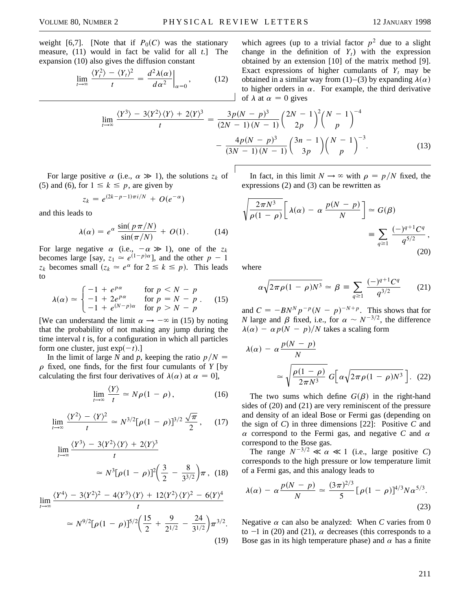weight [6,7]. [Note that if  $P_0(C)$  was the stationary measure, (11) would in fact be valid for all *t*.] The expansion (10) also gives the diffusion constant

$$
\lim_{t \to \infty} \frac{\langle Y_t^2 \rangle - \langle Y_t \rangle^2}{t} = \frac{d^2 \lambda(\alpha)}{d \alpha^2} \bigg|_{\alpha = 0}, \quad (12)
$$

which agrees (up to a trivial factor  $p^2$  due to a slight change in the definition of  $Y_t$ ) with the expression obtained by an extension [10] of the matrix method [9]. Exact expressions of higher cumulants of  $Y_t$  may be obtained in a similar way from (1)–(3) by expanding  $\lambda(\alpha)$ to higher orders in  $\alpha$ . For example, the third derivative of  $\lambda$  at  $\alpha = 0$  gives

$$
\lim_{t \to \infty} \frac{\langle Y^3 \rangle - 3 \langle Y^2 \rangle \langle Y \rangle + 2 \langle Y \rangle^3}{t} = \frac{3p(N-p)^3}{(2N-1)(N-1)} \left(\frac{2N-1}{2p}\right)^2 \left(\frac{N-1}{p}\right)^{-4} - \frac{4p(N-p)^3}{(3N-1)(N-1)} \left(\frac{3n-1}{3p}\right) \left(\frac{N-1}{p}\right)^{-3}.
$$
\n(13)

For large positive  $\alpha$  (i.e.,  $\alpha \gg 1$ ), the solutions  $z_k$  of (5) and (6), for  $1 \leq k \leq p$ , are given by

$$
z_k = e^{(2k-p-1)\pi i/N} + O(e^{-\alpha})
$$

and this leads to

$$
\lambda(\alpha) = e^{\alpha} \frac{\sin(\,p\,\pi/N)}{\sin(\pi/N)} + O(1). \tag{14}
$$

For large negative  $\alpha$  (i.e.,  $-\alpha \gg 1$ ), one of the  $z_k$ becomes large [say,  $z_1 \approx e^{(1-p)\alpha}$ ], and the other  $p-1$  $z_k$  becomes small  $(z_k \approx e^{\alpha})$  for  $2 \le k \le p$ ). This leads to

$$
\lambda(\alpha) \simeq \begin{cases}\n-1 + e^{p\alpha} & \text{for } p < N - p \\
-1 + 2e^{p\alpha} & \text{for } p = N - p \\
-1 + e^{(N-p)\alpha} & \text{for } p > N - p\n\end{cases} (15)
$$

[We can understand the limit  $\alpha \rightarrow -\infty$  in (15) by noting that the probability of not making any jump during the time interval *t* is, for a configuration in which all particles form one cluster, just  $exp(-t)$ .]

In the limit of large *N* and *p*, keeping the ratio  $p/N =$  $\rho$  fixed, one finds, for the first four cumulants of  $Y$  [by calculating the first four derivatives of  $\lambda(\alpha)$  at  $\alpha = 0$ ],

$$
\lim_{t \to \infty} \frac{\langle Y \rangle}{t} \simeq N \rho (1 - \rho), \tag{16}
$$

$$
\lim_{t \to \infty} \frac{\langle Y^2 \rangle - \langle Y \rangle^2}{t} \simeq N^{3/2} [\rho (1 - \rho)]^{3/2} \frac{\sqrt{\pi}}{2}, \quad (17)
$$

$$
\lim_{t \to \infty} \frac{\langle Y^3 \rangle - 3 \langle Y^2 \rangle \langle Y \rangle + 2 \langle Y \rangle^3}{t}
$$
\n
$$
\approx N^3 [\rho (1 - \rho)]^2 \left( \frac{3}{2} - \frac{8}{3^{3/2}} \right) \pi, (18)
$$

$$
\lim_{t \to \infty} \frac{\langle Y^4 \rangle - 3 \langle Y^2 \rangle^2 - 4 \langle Y^3 \rangle \langle Y \rangle + 12 \langle Y^2 \rangle \langle Y \rangle^2 - 6 \langle Y \rangle^4}{t}
$$

$$
\approx N^{9/2}[\rho(1-\rho)]^{5/2}\left(\frac{15}{2}+\frac{9}{2^{1/2}}-\frac{24}{3^{1/2}}\right)\pi^{3/2}.
$$
\n(19)

In fact, in this limit  $N \to \infty$  with  $\rho = p/N$  fixed, the expressions (2) and (3) can be rewritten as

$$
\sqrt{\frac{2\pi N^3}{\rho(1-\rho)}} \left[ \lambda(\alpha) - \alpha \frac{p(N-p)}{N} \right] \approx G(\beta)
$$

$$
\equiv \sum_{q \ge 1} \frac{(-)^{q+1} C^q}{q^{5/2}},
$$
(20)

where

$$
\alpha \sqrt{2\pi \rho (1 - \rho) N^3} \simeq \beta \equiv \sum_{q \ge 1} \frac{(-)^{q+1} C^q}{q^{3/2}} \qquad (21)
$$

and  $C = -BN^Np^{-p}(N-p)^{-N+p}$ . This shows that for *N* large and  $\beta$  fixed, i.e., for  $\alpha \sim N^{-3/2}$ , the difference  $\lambda(\alpha) - \alpha p(N - p)/N$  takes a scaling form

$$
\lambda(\alpha) - \alpha \frac{p(N-p)}{N}
$$

$$
\approx \sqrt{\frac{\rho(1-\rho)}{2\pi N^3}} G\Big[\alpha \sqrt{2\pi \rho (1-\rho) N^3}\Big]. \quad (22)
$$

The two sums which define  $G(\beta)$  in the right-hand sides of (20) and (21) are very reminiscent of the pressure and density of an ideal Bose or Fermi gas (depending on the sign of *C*) in three dimensions [22]: Positive *C* and  $\alpha$  correspond to the Fermi gas, and negative C and  $\alpha$ correspond to the Bose gas.

The range  $N^{-3/2} \ll \alpha \ll 1$  (i.e., large positive *C*) corresponds to the high pressure or low temperature limit of a Fermi gas, and this analogy leads to

$$
\lambda(\alpha) - \alpha \frac{p(N-p)}{N} \simeq \frac{(3\pi)^{2/3}}{5} [\rho(1-\rho)]^{4/3} N \alpha^{5/3}.
$$
\n(23)

Negative  $\alpha$  can also be analyzed: When *C* varies from 0 to  $-1$  in (20) and (21),  $\alpha$  decreases (this corresponds to a Bose gas in its high temperature phase) and  $\alpha$  has a finite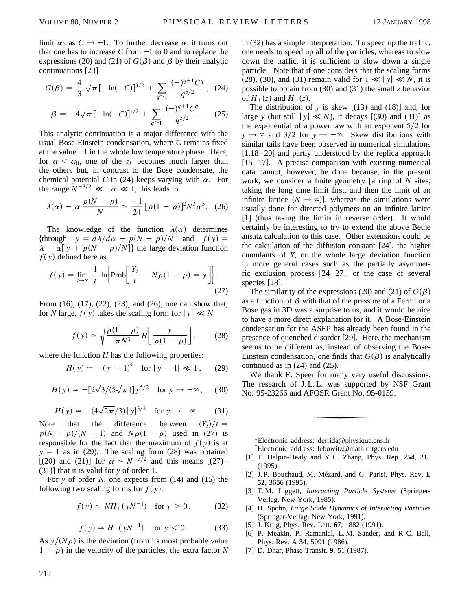limit  $\alpha_0$  as  $C \rightarrow -1$ . To further decrease  $\alpha$ , it turns out that one has to increase  $C$  from  $-1$  to 0 and to replace the expressions (20) and (21) of  $G(\beta)$  and  $\beta$  by their analytic continuations [23]

$$
G(\beta) = \frac{4}{3}\sqrt{\pi}[-\ln(-C)]^{3/2} + \sum_{q \ge 1} \frac{(-)^{q+1}C^q}{q^{5/2}}, \quad (24)
$$

$$
\beta = -4\sqrt{\pi}[-\ln(-C)]^{1/2} + \sum_{q \ge 1} \frac{(-)^{q+1}C^q}{q^{5/2}}.
$$
 (25)

This analytic continuation is a major difference with the usual Bose-Einstein condensation, where *C* remains fixed at the value  $-1$  in the whole low temperature phase. Here, for  $\alpha < \alpha_0$ , one of the  $z_k$  becomes much larger than the others but, in contrast to the Bose condensate, the chemical potential *C* in (24) keeps varying with  $\alpha$ . For the range  $N^{-3/2} \ll -\alpha \ll 1$ , this leads to

$$
\lambda(\alpha) - \alpha \, \frac{p(N-p)}{N} \simeq \frac{-1}{24} \big[ \rho (1-\rho) \big]^2 N^3 \alpha^3. \tag{26}
$$

The knowledge of the function  $\lambda(\alpha)$  determines  $\{\text{through } y = d\lambda/d\alpha - p(N - p)/N \text{ and } f(y) =$  $\lambda - \alpha[y + p(N - p)/N]$  the large deviation function  $f(y)$  defined here as

$$
f(y) = \lim_{t \to \infty} \frac{1}{t} \ln \left\{ \text{Prob} \left[ \frac{Y_t}{t} - N\rho (1 - \rho) = y \right] \right\}.
$$
\n(27)

From (16), (17), (22), (23), and (26), one can show that, for *N* large,  $f(y)$  takes the scaling form for  $|y| \ll N$ 

$$
f(y) \simeq \sqrt{\frac{\rho(1-\rho)}{\pi N^3}} H\left[\frac{y}{\rho(1-\rho)}\right],\qquad(28)
$$

where the function  $H$  has the following properties:

$$
H(y) \simeq -(y-1)^2 \quad \text{for } |y-1| \ll 1, \qquad (29)
$$

$$
H(y) \simeq -[2\sqrt{3}/(5\sqrt{\pi})]y^{5/2} \text{ for } y \to +\infty,
$$
 (30)

$$
H(y) \simeq - (4\sqrt{2\pi}/3) |y|^{3/2} \text{ for } y \to -\infty.
$$
 (31)

Note that the difference between  $\langle Y_t \rangle / t =$  $p(N - p)/(N - 1)$  and  $N\rho(1 - \rho)$  used in (27) is responsible for the fact that the maximum of  $f(y)$  is at  $y = 1$  as in (29). The scaling form (28) was obtained [(20) and (21)] for  $\alpha \sim N^{-3/2}$  and this means [(27)– (31)] that it is valid for *y* of order 1.

For *y* of order *N*, one expects from (14) and (15) the following two scaling forms for  $f(y)$ :

$$
f(y) \approx NH_+(yN^{-1})
$$
 for  $y > 0$ , (32)

$$
f(y) \approx H_{-}(yN^{-1})
$$
 for  $y < 0$ . (33)

As  $y/(N\rho)$  is the deviation (from its most probable value  $1 - \rho$ ) in the velocity of the particles, the extra factor *N* 

212

in (32) has a simple interpretation: To speed up the traffic, one needs to speed up all of the particles, whereas to slow down the traffic, it is sufficient to slow down a single particle. Note that if one considers that the scaling forms (28), (30), and (31) remain valid for  $1 \ll |y| \ll N$ , it is possible to obtain from (30) and (31) the small *z* behavior of  $H_+(z)$  and  $H_-(z)$ .

The distribution of  $y$  is skew  $[(13)$  and  $(18)]$  and, for large *y* (but still  $|y| \ll N$ ), it decays [(30) and (31)] as the exponential of a power law with an exponent  $5/2$  for  $y \rightarrow \infty$  and 3/2 for  $y \rightarrow -\infty$ . Skew distributions with similar tails have been observed in numerical simulations [1,18–20] and partly understood by the replica approach [15–17]. A precise comparison with existing numerical data cannot, however, be done because, in the present work, we consider a finite geometry [a ring of *N* sites, taking the long time limit first, and then the limit of an infinite lattice  $(N \to \infty)$ ], whereas the simulations were usually done for directed polymers on an infinite lattice [1] (thus taking the limits in reverse order). It would certainly be interesting to try to extend the above Bethe ansatz calculation to this case. Other extensions could be the calculation of the diffusion constant [24], the higher cumulants of *Y*, or the whole large deviation function in more general cases such as the partially asymmetric exclusion process [24–27], or the case of several species [28].

The similarity of the expressions (20) and (21) of  $G(\beta)$ as a function of  $\beta$  with that of the pressure of a Fermi or a Bose gas in 3D was a surprise to us, and it would be nice to have a more direct explanation for it. A Bose-Einstein condensation for the ASEP has already been found in the presence of quenched disorder [29]. Here, the mechanism seems to be different as, instead of observing the Bose-Einstein condensation, one finds that  $G(\beta)$  is analytically continued as in (24) and (25).

We thank E. Speer for many very useful discussions. The research of J.L.L. was supported by NSF Grant No. 95-23266 and AFOSR Grant No. 95-0159.

\*Electronic address: derrida@physique.ens.fr † Electronic address: lebowitz@math.rutgers.edu

- [1] T. Halpin-Healy and Y. C. Zhang, Phys. Rep. **254**, 215 (1995).
- [2] J. P. Bouchaud, M. Mézard, and G. Parisi, Phys. Rev. E **52**, 3656 (1995).
- [3] T. M. Liggett, *Interacting Particle Systems* (Springer-Verlag, New York, 1985).
- [4] H. Spohn, *Large Scale Dynamics of Interacting Particles* (Springer-Verlag, New York, 1991).
- [5] J. Krug, Phys. Rev. Lett. **67**, 1882 (1991).

[7] D. Dhar, Phase Transit. **9**, 51 (1987).

[6] P. Meakin, P. Ramanlal, L.M. Sander, and R.C. Ball, Phys. Rev. A **34**, 5091 (1986).